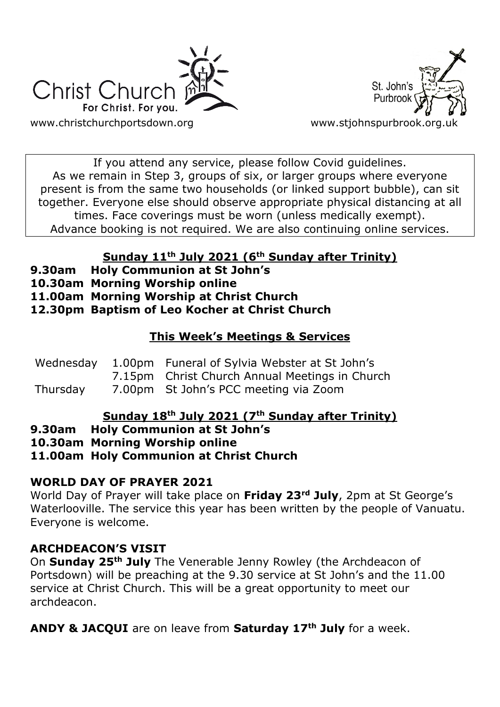



If you attend any service, please follow Covid guidelines. As we remain in Step 3, groups of six, or larger groups where everyone present is from the same two households (or linked support bubble), can sit together. Everyone else should observe appropriate physical distancing at all times. Face coverings must be worn (unless medically exempt). Advance booking is not required. We are also continuing online services.

# **Sunday 11th July 2021 (6th Sunday after Trinity)**

- **9.30am Holy Communion at St John's**
- **10.30am Morning Worship online**
- **11.00am Morning Worship at Christ Church**

**12.30pm Baptism of Leo Kocher at Christ Church**

## **This Week's Meetings & Services**

|          | Wednesday 1.00pm Funeral of Sylvia Webster at St John's |
|----------|---------------------------------------------------------|
|          | 7.15pm Christ Church Annual Meetings in Church          |
| Thursday | 7.00pm St John's PCC meeting via Zoom                   |

## **Sunday 18th July 2021 (7th Sunday after Trinity)**

**9.30am Holy Communion at St John's**

**10.30am Morning Worship online**

**11.00am Holy Communion at Christ Church**

# **WORLD DAY OF PRAYER 2021**

World Day of Prayer will take place on **Friday 23rd July**, 2pm at St George's Waterlooville. The service this year has been written by the people of Vanuatu. Everyone is welcome.

## **ARCHDEACON'S VISIT**

On **Sunday 25th July** The Venerable Jenny Rowley (the Archdeacon of Portsdown) will be preaching at the 9.30 service at St John's and the 11.00 service at Christ Church. This will be a great opportunity to meet our archdeacon.

**ANDY & JACQUI** are on leave from **Saturday 17th July** for a week.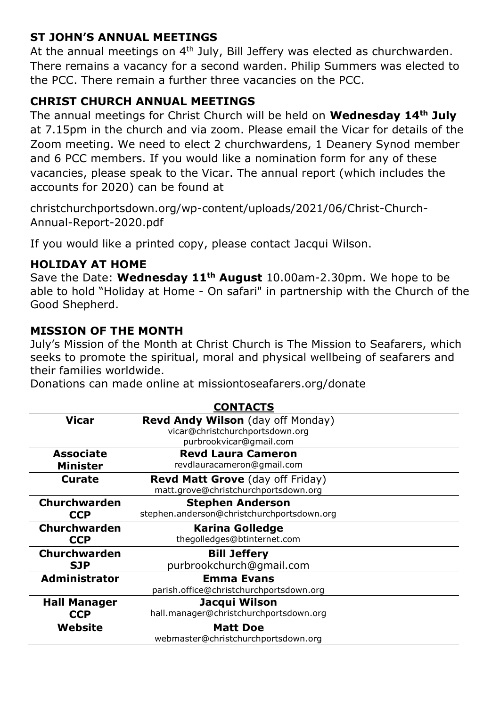### **ST JOHN'S ANNUAL MEETINGS**

At the annual meetings on 4<sup>th</sup> July, Bill Jeffery was elected as churchwarden. There remains a vacancy for a second warden. Philip Summers was elected to the PCC. There remain a further three vacancies on the PCC.

## **CHRIST CHURCH ANNUAL MEETINGS**

The annual meetings for Christ Church will be held on **Wednesday 14th July** at 7.15pm in the church and via zoom. Please email the Vicar for details of the Zoom meeting. We need to elect 2 churchwardens, 1 Deanery Synod member and 6 PCC members. If you would like a nomination form for any of these vacancies, please speak to the Vicar. The annual report (which includes the accounts for 2020) can be found at

christchurchportsdown.org/wp-content/uploads/2021/06/Christ-Church-Annual-Report-2020.pdf

If you would like a printed copy, please contact Jacqui Wilson.

### **HOLIDAY AT HOME**

Save the Date: **Wednesday 11th August** 10.00am-2.30pm. We hope to be able to hold "Holiday at Home - On safari" in partnership with the Church of the Good Shepherd.

### **MISSION OF THE MONTH**

July's Mission of the Month at Christ Church is The Mission to Seafarers, which seeks to promote the spiritual, moral and physical wellbeing of seafarers and their families worldwide.

Donations can made online at missiontoseafarers.org/donate

|                      | <b>CONTACTS</b>                            |  |
|----------------------|--------------------------------------------|--|
| <b>Vicar</b>         | <b>Revd Andy Wilson</b> (day off Monday)   |  |
|                      | vicar@christchurchportsdown.org            |  |
|                      | purbrookvicar@gmail.com                    |  |
| <b>Associate</b>     | <b>Revd Laura Cameron</b>                  |  |
| <b>Minister</b>      | revdlauracameron@gmail.com                 |  |
| <b>Curate</b>        | <b>Revd Matt Grove</b> (day off Friday)    |  |
|                      | matt.grove@christchurchportsdown.org       |  |
| <b>Churchwarden</b>  | <b>Stephen Anderson</b>                    |  |
| <b>CCP</b>           | stephen.anderson@christchurchportsdown.org |  |
| Churchwarden         | <b>Karina Golledge</b>                     |  |
| <b>CCP</b>           | thegolledges@btinternet.com                |  |
| Churchwarden         | <b>Bill Jeffery</b>                        |  |
| <b>SJP</b>           | purbrookchurch@qmail.com                   |  |
| <b>Administrator</b> | <b>Emma Evans</b>                          |  |
|                      | parish.office@christchurchportsdown.org    |  |
| <b>Hall Manager</b>  | Jacqui Wilson                              |  |
| <b>CCP</b>           | hall.manager@christchurchportsdown.org     |  |
| Website              | <b>Matt Doe</b>                            |  |
|                      | webmaster@christchurchportsdown.org        |  |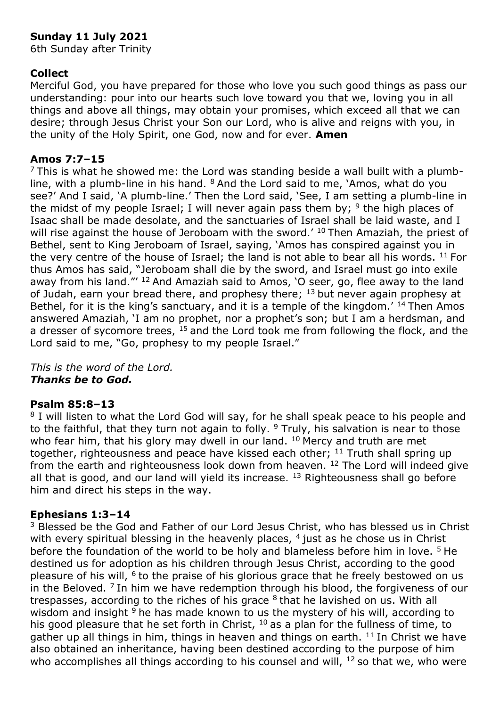### **Sunday 11 July 2021**

6th Sunday after Trinity

#### **Collect**

Merciful God, you have prepared for those who love you such good things as pass our understanding: pour into our hearts such love toward you that we, loving you in all things and above all things, may obtain your promises, which exceed all that we can desire; through Jesus Christ your Son our Lord, who is alive and reigns with you, in the unity of the Holy Spirit, one God, now and for ever. **Amen**

#### **Amos 7:7–15**

 $7$  This is what he showed me: the Lord was standing beside a wall built with a plumbline, with a plumb-line in his hand. <sup>8</sup> And the Lord said to me, 'Amos, what do you see?' And I said, 'A plumb-line.' Then the Lord said, 'See, I am setting a plumb-line in the midst of my people Israel; I will never again pass them by;  $9$  the high places of Isaac shall be made desolate, and the sanctuaries of Israel shall be laid waste, and I will rise against the house of Jeroboam with the sword. $^{\prime}$  10 Then Amaziah, the priest of Bethel, sent to King Jeroboam of Israel, saying, 'Amos has conspired against you in the very centre of the house of Israel; the land is not able to bear all his words.  $^{11}$  For thus Amos has said, "Jeroboam shall die by the sword, and Israel must go into exile away from his land."' <sup>12</sup> And Amaziah said to Amos, 'O seer, go, flee away to the land of Judah, earn your bread there, and prophesy there;  $13$  but never again prophesy at Bethel, for it is the king's sanctuary, and it is a temple of the kingdom.' <sup>14</sup> Then Amos answered Amaziah, 'I am no prophet, nor a prophet's son; but I am a herdsman, and a dresser of sycomore trees,  $15$  and the Lord took me from following the flock, and the Lord said to me, "Go, prophesy to my people Israel."

*This is the word of the Lord. Thanks be to God.*

#### **Psalm 85:8–13**

<sup>8</sup> I will listen to what the Lord God will say, for he shall speak peace to his people and to the faithful, that they turn not again to folly.  $9$  Truly, his salvation is near to those who fear him, that his glory may dwell in our land. <sup>10</sup> Mercy and truth are met together, righteousness and peace have kissed each other; <sup>11</sup> Truth shall spring up from the earth and righteousness look down from heaven. <sup>12</sup> The Lord will indeed give all that is good, and our land will yield its increase.  $13$  Righteousness shall go before him and direct his steps in the way.

#### **Ephesians 1:3–14**

<sup>3</sup> Blessed be the God and Father of our Lord Jesus Christ, who has blessed us in Christ with every spiritual blessing in the heavenly places,  $4$  just as he chose us in Christ before the foundation of the world to be holy and blameless before him in love. <sup>5</sup> He destined us for adoption as his children through Jesus Christ, according to the good pleasure of his will, <sup>6</sup> to the praise of his glorious grace that he freely bestowed on us in the Beloved.  $<sup>7</sup>$  In him we have redemption through his blood, the forgiveness of our</sup> trespasses, according to the riches of his grace  $8$  that he lavished on us. With all wisdom and insight  $9$  he has made known to us the mystery of his will, according to his good pleasure that he set forth in Christ,  $10$  as a plan for the fullness of time, to gather up all things in him, things in heaven and things on earth.  $11$  In Christ we have also obtained an inheritance, having been destined according to the purpose of him who accomplishes all things according to his counsel and will,  $12$  so that we, who were